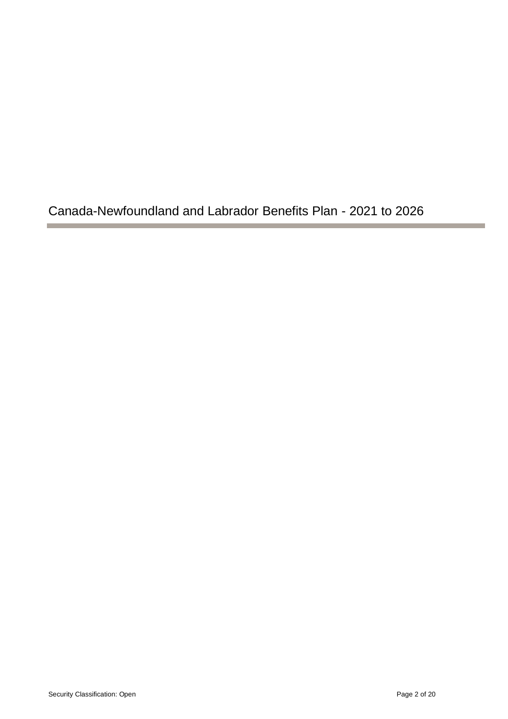Canada-Newfoundland and Labrador Benefits Plan - 2021 to 2026

**The Common**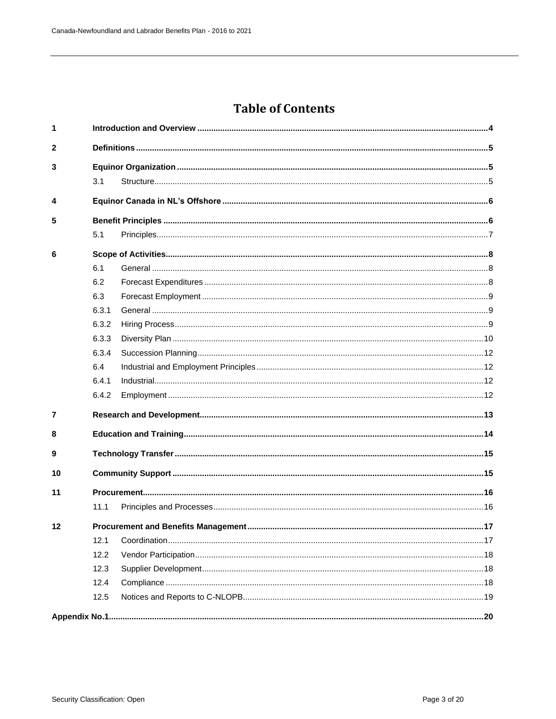# **Table of Contents**

| 1              |       |  |  |  |  |  |
|----------------|-------|--|--|--|--|--|
| $\overline{2}$ |       |  |  |  |  |  |
| 3              |       |  |  |  |  |  |
|                | 3.1   |  |  |  |  |  |
| 4              |       |  |  |  |  |  |
| 5              |       |  |  |  |  |  |
|                | 5.1   |  |  |  |  |  |
| 6              |       |  |  |  |  |  |
|                | 6.1   |  |  |  |  |  |
|                | 6.2   |  |  |  |  |  |
|                | 6.3   |  |  |  |  |  |
|                | 6.3.1 |  |  |  |  |  |
|                | 6.3.2 |  |  |  |  |  |
|                | 6.3.3 |  |  |  |  |  |
|                | 6.3.4 |  |  |  |  |  |
|                | 6.4   |  |  |  |  |  |
|                | 6.4.1 |  |  |  |  |  |
|                | 6.4.2 |  |  |  |  |  |
| $\overline{7}$ |       |  |  |  |  |  |
| 8              |       |  |  |  |  |  |
| 9              |       |  |  |  |  |  |
| 10             |       |  |  |  |  |  |
| 11             |       |  |  |  |  |  |
|                | 11.1  |  |  |  |  |  |
| 12             |       |  |  |  |  |  |
|                | 12.1  |  |  |  |  |  |
|                | 12.2  |  |  |  |  |  |
|                | 12.3  |  |  |  |  |  |
|                | 12.4  |  |  |  |  |  |
|                | 12.5  |  |  |  |  |  |
|                |       |  |  |  |  |  |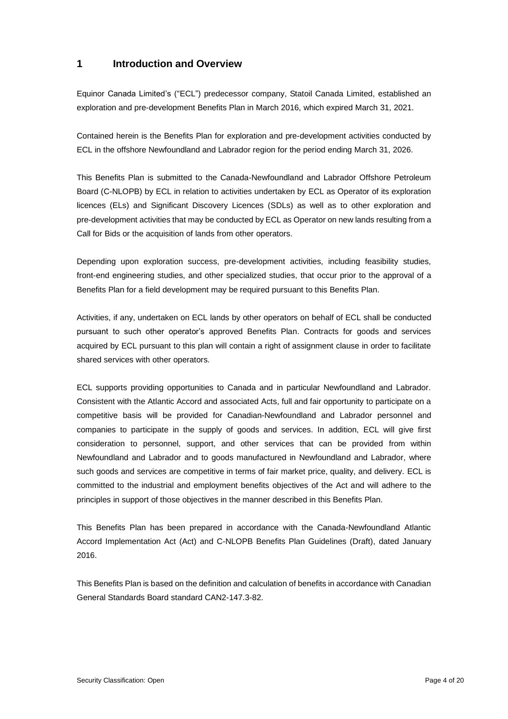# <span id="page-2-0"></span>**1 Introduction and Overview**

Equinor Canada Limited's ("ECL") predecessor company, Statoil Canada Limited, established an exploration and pre-development Benefits Plan in March 2016, which expired March 31, 2021.

Contained herein is the Benefits Plan for exploration and pre-development activities conducted by ECL in the offshore Newfoundland and Labrador region for the period ending March 31, 2026.

This Benefits Plan is submitted to the Canada-Newfoundland and Labrador Offshore Petroleum Board (C-NLOPB) by ECL in relation to activities undertaken by ECL as Operator of its exploration licences (ELs) and Significant Discovery Licences (SDLs) as well as to other exploration and pre-development activities that may be conducted by ECL as Operator on new lands resulting from a Call for Bids or the acquisition of lands from other operators.

Depending upon exploration success, pre-development activities, including feasibility studies, front-end engineering studies, and other specialized studies, that occur prior to the approval of a Benefits Plan for a field development may be required pursuant to this Benefits Plan.

Activities, if any, undertaken on ECL lands by other operators on behalf of ECL shall be conducted pursuant to such other operator's approved Benefits Plan. Contracts for goods and services acquired by ECL pursuant to this plan will contain a right of assignment clause in order to facilitate shared services with other operators.

ECL supports providing opportunities to Canada and in particular Newfoundland and Labrador. Consistent with the Atlantic Accord and associated Acts, full and fair opportunity to participate on a competitive basis will be provided for Canadian-Newfoundland and Labrador personnel and companies to participate in the supply of goods and services. In addition, ECL will give first consideration to personnel, support, and other services that can be provided from within Newfoundland and Labrador and to goods manufactured in Newfoundland and Labrador, where such goods and services are competitive in terms of fair market price, quality, and delivery. ECL is committed to the industrial and employment benefits objectives of the Act and will adhere to the principles in support of those objectives in the manner described in this Benefits Plan.

This Benefits Plan has been prepared in accordance with the Canada-Newfoundland Atlantic Accord Implementation Act (Act) and C-NLOPB Benefits Plan Guidelines (Draft), dated January 2016.

This Benefits Plan is based on the definition and calculation of benefits in accordance with Canadian General Standards Board standard CAN2-147.3-82.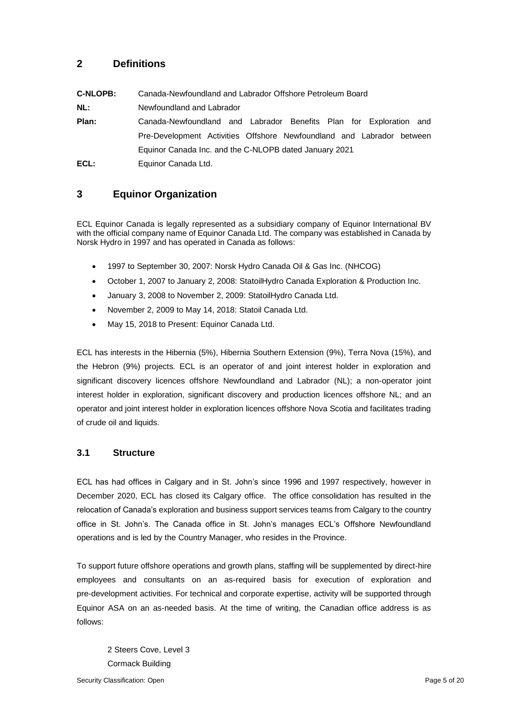# <span id="page-3-0"></span>**2 Definitions**

<span id="page-3-1"></span>

| <b>C-NLOPB:</b> | Canada-Newfoundland and Labrador Offshore Petroleum Board             |  |  |  |
|-----------------|-----------------------------------------------------------------------|--|--|--|
| NL:             | Newfoundland and Labrador                                             |  |  |  |
| Plan:           | Canada-Newfoundland and Labrador Benefits Plan for Exploration and    |  |  |  |
|                 | Pre-Development Activities Offshore Newfoundland and Labrador between |  |  |  |
|                 | Equinor Canada Inc. and the C-NLOPB dated January 2021                |  |  |  |
| ECL:            | Equinor Canada Ltd.                                                   |  |  |  |

# **3 Equinor Organization**

ECL Equinor Canada is legally represented as a subsidiary company of Equinor International BV with the official company name of Equinor Canada Ltd. The company was established in Canada by Norsk Hydro in 1997 and has operated in Canada as follows:

- 1997 to September 30, 2007: Norsk Hydro Canada Oil & Gas Inc. (NHCOG)
- October 1, 2007 to January 2, 2008: StatoilHydro Canada Exploration & Production Inc.
- January 3, 2008 to November 2, 2009: StatoilHydro Canada Ltd.
- November 2, 2009 to May 14, 2018: Statoil Canada Ltd.
- May 15, 2018 to Present: Equinor Canada Ltd.

<span id="page-3-2"></span>ECL has interests in the Hibernia (5%), Hibernia Southern Extension (9%), Terra Nova (15%), and the Hebron (9%) projects. ECL is an operator of and joint interest holder in exploration and significant discovery licences offshore Newfoundland and Labrador (NL); a non-operator joint interest holder in exploration, significant discovery and production licences offshore NL; and an operator and joint interest holder in exploration licences offshore Nova Scotia and facilitates trading of crude oil and liquids.

#### **3.1 Structure**

ECL has had offices in Calgary and in St. John's since 1996 and 1997 respectively, however in December 2020, ECL has closed its Calgary office. The office consolidation has resulted in the relocation of Canada's exploration and business support services teams from Calgary to the country office in St. John's. The Canada office in St. John's manages ECL's Offshore Newfoundland operations and is led by the Country Manager, who resides in the Province.

To support future offshore operations and growth plans, staffing will be supplemented by direct-hire employees and consultants on an as-required basis for execution of exploration and pre-development activities. For technical and corporate expertise, activity will be supported through Equinor ASA on an as-needed basis. At the time of writing, the Canadian office address is as follows:

2 Steers Cove, Level 3 Cormack Building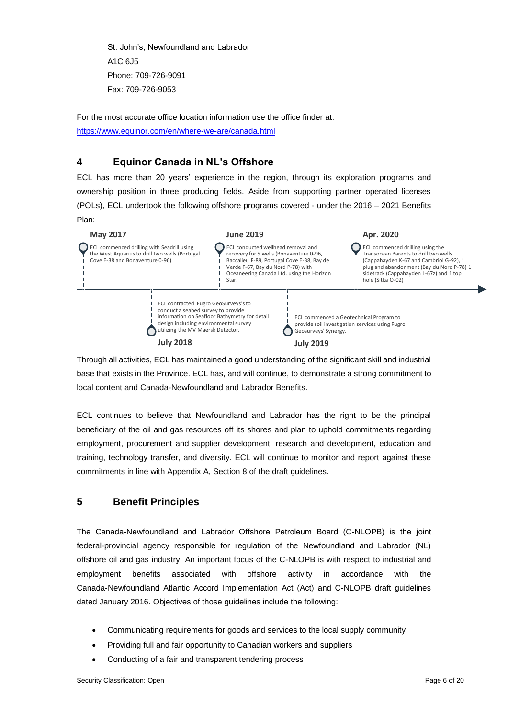St. John's, Newfoundland and Labrador A1C 6J5 Phone: 709-726-9091 Fax: 709-726-9053

<span id="page-4-0"></span>For the most accurate office location information use the office finder at: <https://www.equinor.com/en/where-we-are/canada.html>

## **4 Equinor Canada in NL's Offshore**

ECL has more than 20 years' experience in the region, through its exploration programs and ownership position in three producing fields. Aside from supporting partner operated licenses (POLs), ECL undertook the following offshore programs covered - under the 2016 – 2021 Benefits Plan:



Through all activities, ECL has maintained a good understanding of the significant skill and industrial base that exists in the Province. ECL has, and will continue, to demonstrate a strong commitment to local content and Canada-Newfoundland and Labrador Benefits.

<span id="page-4-1"></span>ECL continues to believe that Newfoundland and Labrador has the right to be the principal beneficiary of the oil and gas resources off its shores and plan to uphold commitments regarding employment, procurement and supplier development, research and development, education and training, technology transfer, and diversity. ECL will continue to monitor and report against these commitments in line with Appendix A, Section 8 of the draft guidelines.

# **5 Benefit Principles**

The Canada-Newfoundland and Labrador Offshore Petroleum Board (C-NLOPB) is the joint federal-provincial agency responsible for regulation of the Newfoundland and Labrador (NL) offshore oil and gas industry. An important focus of the C-NLOPB is with respect to industrial and employment benefits associated with offshore activity in accordance with the Canada-Newfoundland Atlantic Accord Implementation Act (Act) and C-NLOPB draft guidelines dated January 2016. Objectives of those guidelines include the following:

- Communicating requirements for goods and services to the local supply community
- Providing full and fair opportunity to Canadian workers and suppliers
- Conducting of a fair and transparent tendering process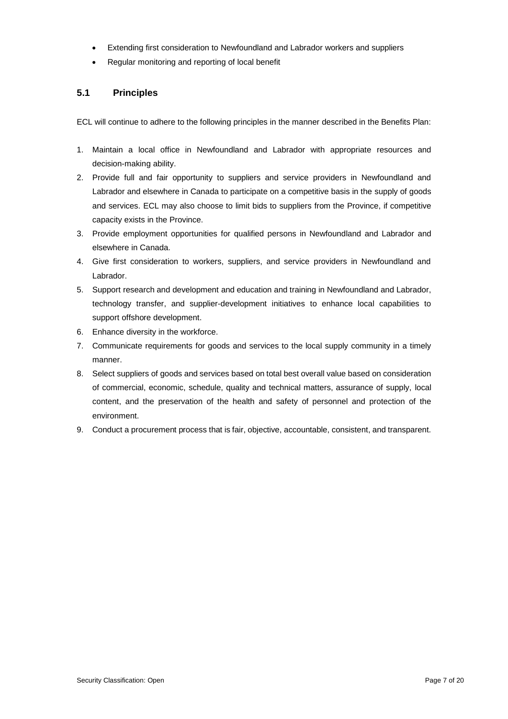- <span id="page-5-0"></span>• Extending first consideration to Newfoundland and Labrador workers and suppliers
- Regular monitoring and reporting of local benefit

#### **5.1 Principles**

ECL will continue to adhere to the following principles in the manner described in the Benefits Plan:

- 1. Maintain a local office in Newfoundland and Labrador with appropriate resources and decision-making ability.
- 2. Provide full and fair opportunity to suppliers and service providers in Newfoundland and Labrador and elsewhere in Canada to participate on a competitive basis in the supply of goods and services. ECL may also choose to limit bids to suppliers from the Province, if competitive capacity exists in the Province.
- 3. Provide employment opportunities for qualified persons in Newfoundland and Labrador and elsewhere in Canada.
- 4. Give first consideration to workers, suppliers, and service providers in Newfoundland and Labrador.
- 5. Support research and development and education and training in Newfoundland and Labrador, technology transfer, and supplier-development initiatives to enhance local capabilities to support offshore development.
- 6. Enhance diversity in the workforce.
- 7. Communicate requirements for goods and services to the local supply community in a timely manner.
- 8. Select suppliers of goods and services based on total best overall value based on consideration of commercial, economic, schedule, quality and technical matters, assurance of supply, local content, and the preservation of the health and safety of personnel and protection of the environment.
- 9. Conduct a procurement process that is fair, objective, accountable, consistent, and transparent.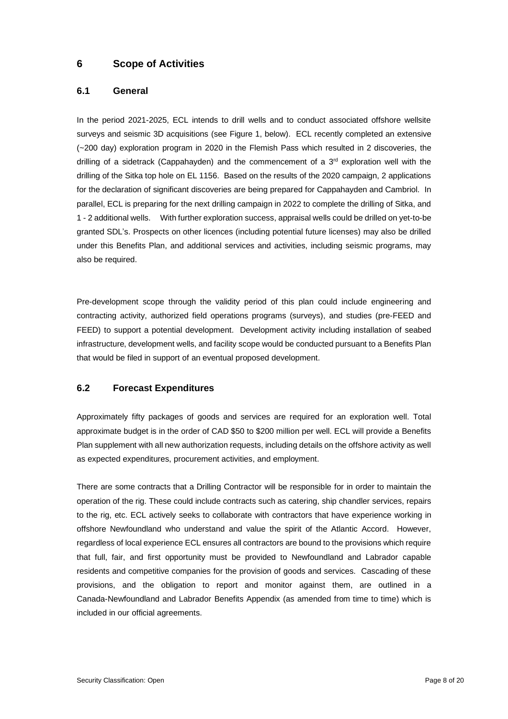# <span id="page-6-1"></span><span id="page-6-0"></span>**6 Scope of Activities**

#### **6.1 General**

In the period 2021-2025, ECL intends to drill wells and to conduct associated offshore wellsite surveys and seismic 3D acquisitions (see Figure 1, below). ECL recently completed an extensive (~200 day) exploration program in 2020 in the Flemish Pass which resulted in 2 discoveries, the drilling of a sidetrack (Cappahayden) and the commencement of a 3<sup>rd</sup> exploration well with the drilling of the Sitka top hole on EL 1156. Based on the results of the 2020 campaign, 2 applications for the declaration of significant discoveries are being prepared for Cappahayden and Cambriol. In parallel, ECL is preparing for the next drilling campaign in 2022 to complete the drilling of Sitka, and 1 - 2 additional wells. With further exploration success, appraisal wells could be drilled on yet-to-be granted SDL's. Prospects on other licences (including potential future licenses) may also be drilled under this Benefits Plan, and additional services and activities, including seismic programs, may also be required.

<span id="page-6-2"></span>Pre-development scope through the validity period of this plan could include engineering and contracting activity, authorized field operations programs (surveys), and studies (pre-FEED and FEED) to support a potential development. Development activity including installation of seabed infrastructure, development wells, and facility scope would be conducted pursuant to a Benefits Plan that would be filed in support of an eventual proposed development.

### **6.2 Forecast Expenditures**

Approximately fifty packages of goods and services are required for an exploration well. Total approximate budget is in the order of CAD \$50 to \$200 million per well. ECL will provide a Benefits Plan supplement with all new authorization requests, including details on the offshore activity as well as expected expenditures, procurement activities, and employment.

There are some contracts that a Drilling Contractor will be responsible for in order to maintain the operation of the rig. These could include contracts such as catering, ship chandler services, repairs to the rig, etc. ECL actively seeks to collaborate with contractors that have experience working in offshore Newfoundland who understand and value the spirit of the Atlantic Accord. However, regardless of local experience ECL ensures all contractors are bound to the provisions which require that full, fair, and first opportunity must be provided to Newfoundland and Labrador capable residents and competitive companies for the provision of goods and services. Cascading of these provisions, and the obligation to report and monitor against them, are outlined in a Canada-Newfoundland and Labrador Benefits Appendix (as amended from time to time) which is included in our official agreements.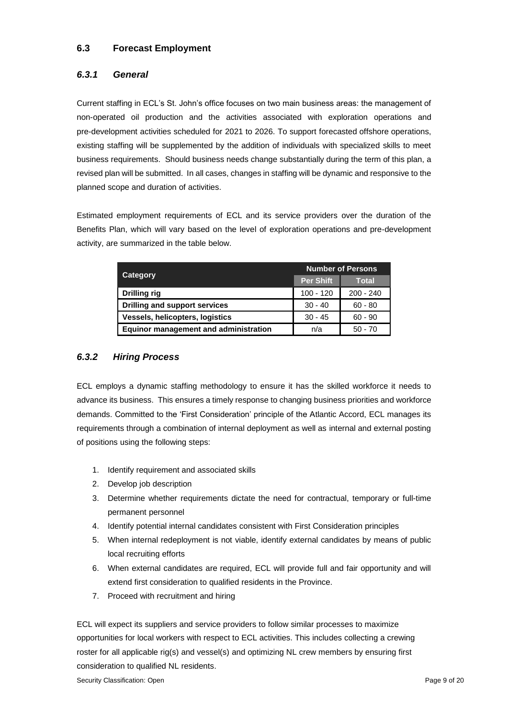## <span id="page-7-1"></span><span id="page-7-0"></span>**6.3 Forecast Employment**

## *6.3.1 General*

Current staffing in ECL's St. John's office focuses on two main business areas: the management of non-operated oil production and the activities associated with exploration operations and pre-development activities scheduled for 2021 to 2026. To support forecasted offshore operations, existing staffing will be supplemented by the addition of individuals with specialized skills to meet business requirements. Should business needs change substantially during the term of this plan, a revised plan will be submitted. In all cases, changes in staffing will be dynamic and responsive to the planned scope and duration of activities.

Estimated employment requirements of ECL and its service providers over the duration of the Benefits Plan, which will vary based on the level of exploration operations and pre-development activity, are summarized in the table below.

<span id="page-7-2"></span>

| <b>Category</b>                       | <b>Number of Persons</b> |              |
|---------------------------------------|--------------------------|--------------|
|                                       | <b>Per Shift</b>         | <b>Total</b> |
| Drilling rig                          | $100 - 120$              | $200 - 240$  |
| Drilling and support services         | $30 - 40$                | $60 - 80$    |
| Vessels, helicopters, logistics       | $30 - 45$                | $60 - 90$    |
| Equinor management and administration | n/a                      | $50 - 70$    |

## *6.3.2 Hiring Process*

ECL employs a dynamic staffing methodology to ensure it has the skilled workforce it needs to advance its business. This ensures a timely response to changing business priorities and workforce demands. Committed to the 'First Consideration' principle of the Atlantic Accord, ECL manages its requirements through a combination of internal deployment as well as internal and external posting of positions using the following steps:

- 1. Identify requirement and associated skills
- 2. Develop job description
- 3. Determine whether requirements dictate the need for contractual, temporary or full-time permanent personnel
- 4. Identify potential internal candidates consistent with First Consideration principles
- 5. When internal redeployment is not viable, identify external candidates by means of public local recruiting efforts
- 6. When external candidates are required, ECL will provide full and fair opportunity and will extend first consideration to qualified residents in the Province.
- 7. Proceed with recruitment and hiring

ECL will expect its suppliers and service providers to follow similar processes to maximize opportunities for local workers with respect to ECL activities. This includes collecting a crewing roster for all applicable rig(s) and vessel(s) and optimizing NL crew members by ensuring first consideration to qualified NL residents.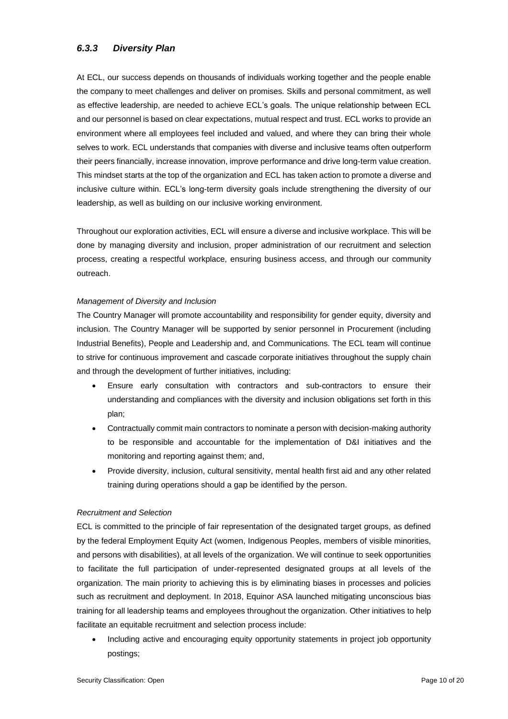## <span id="page-8-0"></span>*6.3.3 Diversity Plan*

At ECL, our success depends on thousands of individuals working together and the people enable the company to meet challenges and deliver on promises. Skills and personal commitment, as well as effective leadership, are needed to achieve ECL's goals. The unique relationship between ECL and our personnel is based on clear expectations, mutual respect and trust. ECL works to provide an environment where all employees feel included and valued, and where they can bring their whole selves to work. ECL understands that companies with diverse and inclusive teams often outperform their peers financially, increase innovation, improve performance and drive long-term value creation. This mindset starts at the top of the organization and ECL has taken action to promote a diverse and inclusive culture within. ECL's long-term diversity goals include strengthening the diversity of our leadership, as well as building on our inclusive working environment.

Throughout our exploration activities, ECL will ensure a diverse and inclusive workplace. This will be done by managing diversity and inclusion, proper administration of our recruitment and selection process, creating a respectful workplace, ensuring business access, and through our community outreach.

#### *Management of Diversity and Inclusion*

The Country Manager will promote accountability and responsibility for gender equity, diversity and inclusion. The Country Manager will be supported by senior personnel in Procurement (including Industrial Benefits), People and Leadership and, and Communications. The ECL team will continue to strive for continuous improvement and cascade corporate initiatives throughout the supply chain and through the development of further initiatives, including:

- Ensure early consultation with contractors and sub-contractors to ensure their understanding and compliances with the diversity and inclusion obligations set forth in this plan;
- Contractually commit main contractors to nominate a person with decision-making authority to be responsible and accountable for the implementation of D&I initiatives and the monitoring and reporting against them; and,
- Provide diversity, inclusion, cultural sensitivity, mental health first aid and any other related training during operations should a gap be identified by the person.

#### *Recruitment and Selection*

ECL is committed to the principle of fair representation of the designated target groups, as defined by the federal Employment Equity Act (women, Indigenous Peoples, members of visible minorities, and persons with disabilities), at all levels of the organization. We will continue to seek opportunities to facilitate the full participation of under-represented designated groups at all levels of the organization. The main priority to achieving this is by eliminating biases in processes and policies such as recruitment and deployment. In 2018, Equinor ASA launched mitigating unconscious bias training for all leadership teams and employees throughout the organization. Other initiatives to help facilitate an equitable recruitment and selection process include:

• Including active and encouraging equity opportunity statements in project job opportunity postings;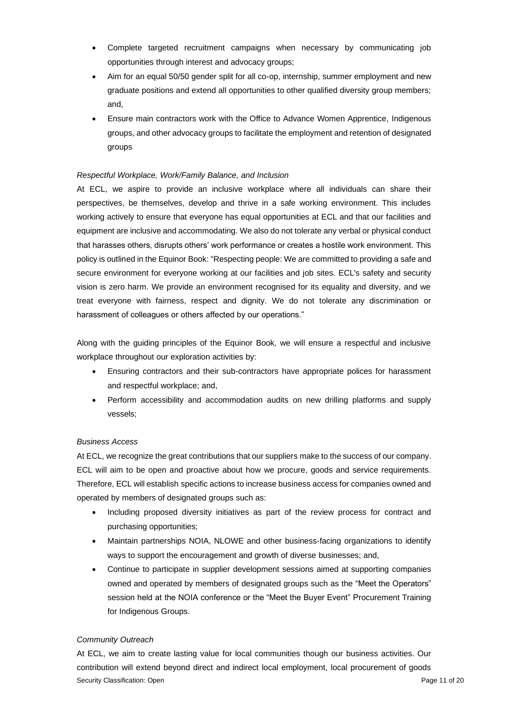- Complete targeted recruitment campaigns when necessary by communicating job opportunities through interest and advocacy groups;
- Aim for an equal 50/50 gender split for all co-op, internship, summer employment and new graduate positions and extend all opportunities to other qualified diversity group members; and,
- Ensure main contractors work with the Office to Advance Women Apprentice, Indigenous groups, and other advocacy groups to facilitate the employment and retention of designated groups

#### *Respectful Workplace, Work/Family Balance, and Inclusion*

At ECL, we aspire to provide an inclusive workplace where all individuals can share their perspectives, be themselves, develop and thrive in a safe working environment. This includes working actively to ensure that everyone has equal opportunities at ECL and that our facilities and equipment are inclusive and accommodating. We also do not tolerate any verbal or physical conduct that harasses others, disrupts others' work performance or creates a hostile work environment. This policy is outlined in the Equinor Book: "Respecting people: We are committed to providing a safe and secure environment for everyone working at our facilities and job sites. ECL's safety and security vision is zero harm. We provide an environment recognised for its equality and diversity, and we treat everyone with fairness, respect and dignity. We do not tolerate any discrimination or harassment of colleagues or others affected by our operations."

Along with the guiding principles of the Equinor Book, we will ensure a respectful and inclusive workplace throughout our exploration activities by:

- Ensuring contractors and their sub-contractors have appropriate polices for harassment and respectful workplace; and,
- Perform accessibility and accommodation audits on new drilling platforms and supply vessels;

#### *Business Access*

At ECL, we recognize the great contributions that our suppliers make to the success of our company. ECL will aim to be open and proactive about how we procure, goods and service requirements. Therefore, ECL will establish specific actions to increase business access for companies owned and operated by members of designated groups such as:

- Including proposed diversity initiatives as part of the review process for contract and purchasing opportunities;
- Maintain partnerships NOIA, NLOWE and other business-facing organizations to identify ways to support the encouragement and growth of diverse businesses; and,
- Continue to participate in supplier development sessions aimed at supporting companies owned and operated by members of designated groups such as the "Meet the Operators" session held at the NOIA conference or the "Meet the Buyer Event" Procurement Training for Indigenous Groups.

#### *Community Outreach*

Security Classification: Open **Page 11 of 20** Security Classification: Open **Page 11 of 20** At ECL, we aim to create lasting value for local communities though our business activities. Our contribution will extend beyond direct and indirect local employment, local procurement of goods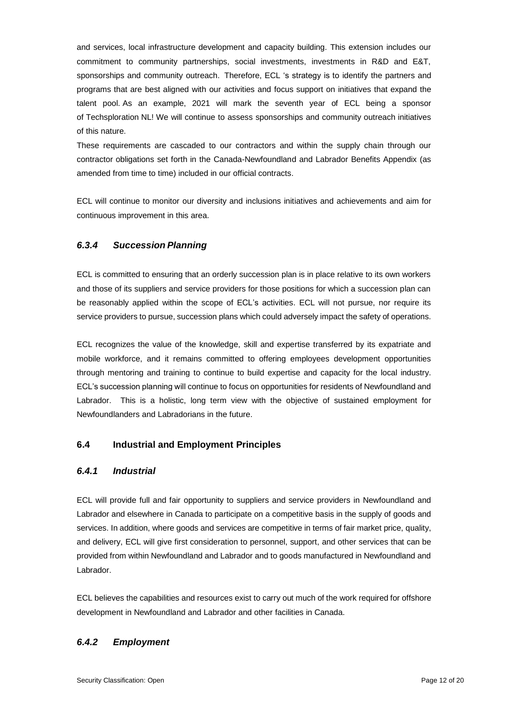and services, local infrastructure development and capacity building. This extension includes our commitment to community partnerships, social investments, investments in R&D and E&T, sponsorships and community outreach. Therefore, ECL 's strategy is to identify the partners and programs that are best aligned with our activities and focus support on initiatives that expand the talent pool. As an example, 2021 will mark the seventh year of ECL being a sponsor of Techsploration NL! We will continue to assess sponsorships and community outreach initiatives of this nature.

These requirements are cascaded to our contractors and within the supply chain through our contractor obligations set forth in the Canada-Newfoundland and Labrador Benefits Appendix (as amended from time to time) included in our official contracts.

<span id="page-10-0"></span>ECL will continue to monitor our diversity and inclusions initiatives and achievements and aim for continuous improvement in this area.

#### *6.3.4 Succession Planning*

ECL is committed to ensuring that an orderly succession plan is in place relative to its own workers and those of its suppliers and service providers for those positions for which a succession plan can be reasonably applied within the scope of ECL's activities. ECL will not pursue, nor require its service providers to pursue, succession plans which could adversely impact the safety of operations.

<span id="page-10-1"></span>ECL recognizes the value of the knowledge, skill and expertise transferred by its expatriate and mobile workforce, and it remains committed to offering employees development opportunities through mentoring and training to continue to build expertise and capacity for the local industry. ECL's succession planning will continue to focus on opportunities for residents of Newfoundland and Labrador. This is a holistic, long term view with the objective of sustained employment for Newfoundlanders and Labradorians in the future.

#### <span id="page-10-2"></span>**6.4 Industrial and Employment Principles**

#### *6.4.1 Industrial*

ECL will provide full and fair opportunity to suppliers and service providers in Newfoundland and Labrador and elsewhere in Canada to participate on a competitive basis in the supply of goods and services. In addition, where goods and services are competitive in terms of fair market price, quality, and delivery, ECL will give first consideration to personnel, support, and other services that can be provided from within Newfoundland and Labrador and to goods manufactured in Newfoundland and Labrador.

<span id="page-10-3"></span>ECL believes the capabilities and resources exist to carry out much of the work required for offshore development in Newfoundland and Labrador and other facilities in Canada.

# *6.4.2 Employment*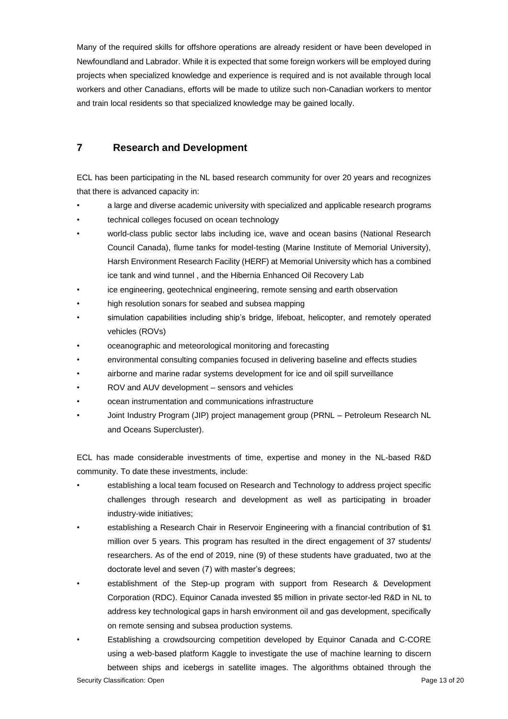<span id="page-11-0"></span>Many of the required skills for offshore operations are already resident or have been developed in Newfoundland and Labrador. While it is expected that some foreign workers will be employed during projects when specialized knowledge and experience is required and is not available through local workers and other Canadians, efforts will be made to utilize such non-Canadian workers to mentor and train local residents so that specialized knowledge may be gained locally.

## **7 Research and Development**

ECL has been participating in the NL based research community for over 20 years and recognizes that there is advanced capacity in:

- a large and diverse academic university with specialized and applicable research programs
- technical colleges focused on ocean technology
- world-class public sector labs including ice, wave and ocean basins (National Research Council Canada), flume tanks for model-testing (Marine Institute of Memorial University), Harsh Environment Research Facility (HERF) at Memorial University which has a combined ice tank and wind tunnel , and the Hibernia Enhanced Oil Recovery Lab
- ice engineering, geotechnical engineering, remote sensing and earth observation
- high resolution sonars for seabed and subsea mapping
- simulation capabilities including ship's bridge, lifeboat, helicopter, and remotely operated vehicles (ROVs)
- oceanographic and meteorological monitoring and forecasting
- environmental consulting companies focused in delivering baseline and effects studies
- airborne and marine radar systems development for ice and oil spill surveillance
- ROV and AUV development sensors and vehicles
- ocean instrumentation and communications infrastructure
- Joint Industry Program (JIP) project management group (PRNL Petroleum Research NL and Oceans Supercluster).

ECL has made considerable investments of time, expertise and money in the NL-based R&D community. To date these investments, include:

- establishing a local team focused on Research and Technology to address project specific challenges through research and development as well as participating in broader industry-wide initiatives;
- establishing a Research Chair in Reservoir Engineering with a financial contribution of \$1 million over 5 years. This program has resulted in the direct engagement of 37 students/ researchers. As of the end of 2019, nine (9) of these students have graduated, two at the doctorate level and seven (7) with master's degrees;
- establishment of the Step-up program with support from Research & Development Corporation (RDC). Equinor Canada invested \$5 million in private sector-led R&D in NL to address key technological gaps in harsh environment oil and gas development, specifically on remote sensing and subsea production systems.
	- Establishing a crowdsourcing competition developed by Equinor Canada and C-CORE using a web-based platform Kaggle to investigate the use of machine learning to discern between ships and icebergs in satellite images. The algorithms obtained through the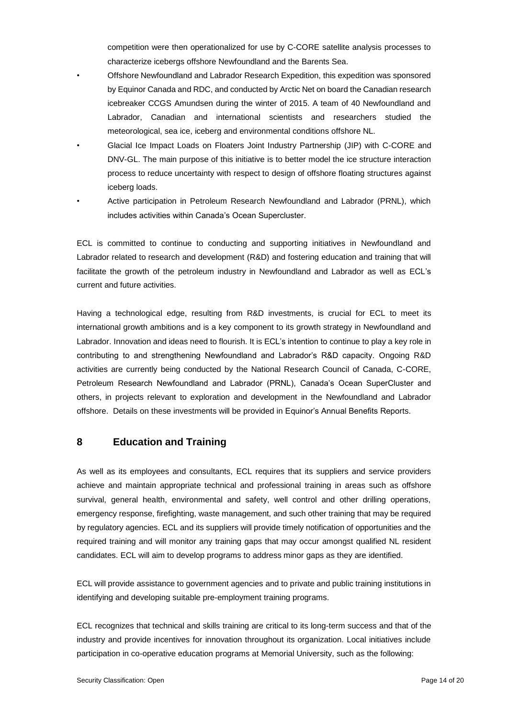competition were then operationalized for use by C-CORE satellite analysis processes to characterize icebergs offshore Newfoundland and the Barents Sea.

• Offshore Newfoundland and Labrador Research Expedition, this expedition was sponsored by Equinor Canada and RDC, and conducted by Arctic Net on board the Canadian research icebreaker CCGS Amundsen during the winter of 2015. A team of 40 Newfoundland and Labrador, Canadian and international scientists and researchers studied the meteorological, sea ice, iceberg and environmental conditions offshore NL.

• Glacial Ice Impact Loads on Floaters Joint Industry Partnership (JIP) with C-CORE and DNV-GL. The main purpose of this initiative is to better model the ice structure interaction process to reduce uncertainty with respect to design of offshore floating structures against iceberg loads.

• Active participation in Petroleum Research Newfoundland and Labrador (PRNL), which includes activities within Canada's Ocean Supercluster.

ECL is committed to continue to conducting and supporting initiatives in Newfoundland and Labrador related to research and development (R&D) and fostering education and training that will facilitate the growth of the petroleum industry in Newfoundland and Labrador as well as ECL's current and future activities.

Having a technological edge, resulting from R&D investments, is crucial for ECL to meet its international growth ambitions and is a key component to its growth strategy in Newfoundland and Labrador. Innovation and ideas need to flourish. It is ECL's intention to continue to play a key role in contributing to and strengthening Newfoundland and Labrador's R&D capacity. Ongoing R&D activities are currently being conducted by the National Research Council of Canada, C-CORE, Petroleum Research Newfoundland and Labrador (PRNL), Canada's Ocean SuperCluster and others, in projects relevant to exploration and development in the Newfoundland and Labrador offshore. Details on these investments will be provided in Equinor's Annual Benefits Reports.

#### <span id="page-12-0"></span>**8 Education and Training**

As well as its employees and consultants, ECL requires that its suppliers and service providers achieve and maintain appropriate technical and professional training in areas such as offshore survival, general health, environmental and safety, well control and other drilling operations, emergency response, firefighting, waste management, and such other training that may be required by regulatory agencies. ECL and its suppliers will provide timely notification of opportunities and the required training and will monitor any training gaps that may occur amongst qualified NL resident candidates. ECL will aim to develop programs to address minor gaps as they are identified.

ECL will provide assistance to government agencies and to private and public training institutions in identifying and developing suitable pre-employment training programs.

ECL recognizes that technical and skills training are critical to its long-term success and that of the industry and provide incentives for innovation throughout its organization. Local initiatives include participation in co-operative education programs at Memorial University, such as the following: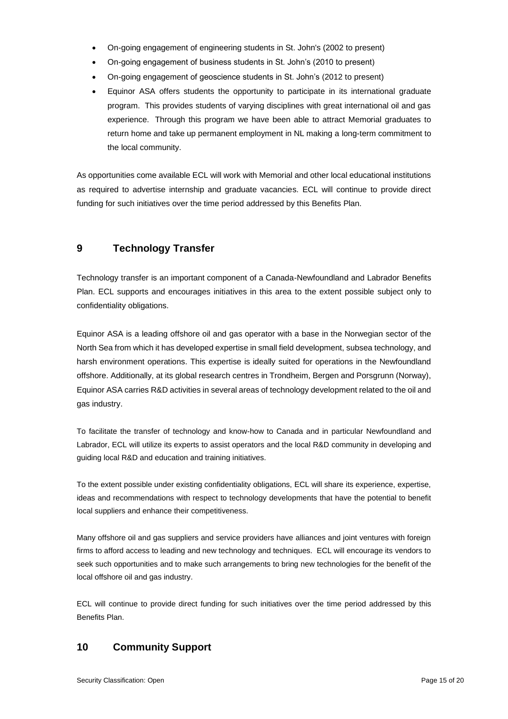- On-going engagement of engineering students in St. John's (2002 to present)
- On-going engagement of business students in St. John's (2010 to present)
- On-going engagement of geoscience students in St. John's (2012 to present)
- Equinor ASA offers students the opportunity to participate in its international graduate program. This provides students of varying disciplines with great international oil and gas experience. Through this program we have been able to attract Memorial graduates to return home and take up permanent employment in NL making a long-term commitment to the local community.

<span id="page-13-0"></span>As opportunities come available ECL will work with Memorial and other local educational institutions as required to advertise internship and graduate vacancies. ECL will continue to provide direct funding for such initiatives over the time period addressed by this Benefits Plan.

## **9 Technology Transfer**

Technology transfer is an important component of a Canada-Newfoundland and Labrador Benefits Plan. ECL supports and encourages initiatives in this area to the extent possible subject only to confidentiality obligations.

Equinor ASA is a leading offshore oil and gas operator with a base in the Norwegian sector of the North Sea from which it has developed expertise in small field development, subsea technology, and harsh environment operations. This expertise is ideally suited for operations in the Newfoundland offshore. Additionally, at its global research centres in Trondheim, Bergen and Porsgrunn (Norway), Equinor ASA carries R&D activities in several areas of technology development related to the oil and gas industry.

To facilitate the transfer of technology and know-how to Canada and in particular Newfoundland and Labrador, ECL will utilize its experts to assist operators and the local R&D community in developing and guiding local R&D and education and training initiatives.

To the extent possible under existing confidentiality obligations, ECL will share its experience, expertise, ideas and recommendations with respect to technology developments that have the potential to benefit local suppliers and enhance their competitiveness.

Many offshore oil and gas suppliers and service providers have alliances and joint ventures with foreign firms to afford access to leading and new technology and techniques. ECL will encourage its vendors to seek such opportunities and to make such arrangements to bring new technologies for the benefit of the local offshore oil and gas industry.

<span id="page-13-1"></span>ECL will continue to provide direct funding for such initiatives over the time period addressed by this Benefits Plan.

# **10 Community Support**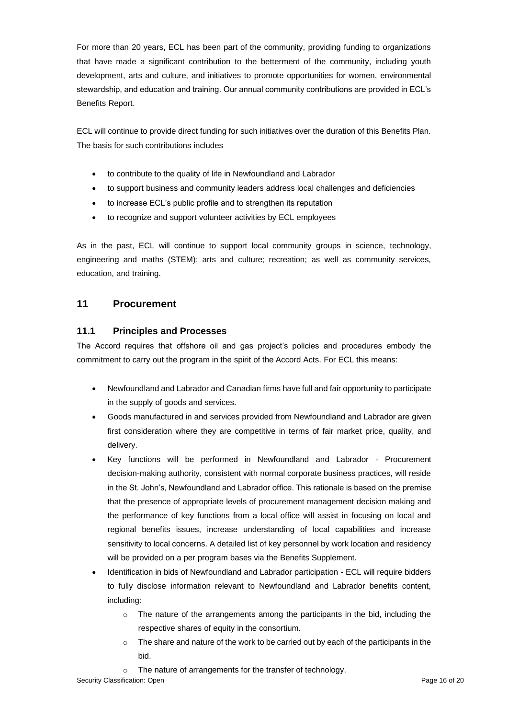For more than 20 years, ECL has been part of the community, providing funding to organizations that have made a significant contribution to the betterment of the community, including youth development, arts and culture, and initiatives to promote opportunities for women, environmental stewardship, and education and training. Our annual community contributions are provided in ECL's Benefits Report.

ECL will continue to provide direct funding for such initiatives over the duration of this Benefits Plan. The basis for such contributions includes

- to contribute to the quality of life in Newfoundland and Labrador
- to support business and community leaders address local challenges and deficiencies
- to increase ECL's public profile and to strengthen its reputation
- to recognize and support volunteer activities by ECL employees

<span id="page-14-0"></span>As in the past, ECL will continue to support local community groups in science, technology, engineering and maths (STEM); arts and culture; recreation; as well as community services, education, and training.

## <span id="page-14-1"></span>**11 Procurement**

#### **11.1 Principles and Processes**

The Accord requires that offshore oil and gas project's policies and procedures embody the commitment to carry out the program in the spirit of the Accord Acts. For ECL this means:

- Newfoundland and Labrador and Canadian firms have full and fair opportunity to participate in the supply of goods and services.
- Goods manufactured in and services provided from Newfoundland and Labrador are given first consideration where they are competitive in terms of fair market price, quality, and delivery.
- Key functions will be performed in Newfoundland and Labrador Procurement decision-making authority, consistent with normal corporate business practices, will reside in the St. John's, Newfoundland and Labrador office. This rationale is based on the premise that the presence of appropriate levels of procurement management decision making and the performance of key functions from a local office will assist in focusing on local and regional benefits issues, increase understanding of local capabilities and increase sensitivity to local concerns. A detailed list of key personnel by work location and residency will be provided on a per program bases via the Benefits Supplement.
- Identification in bids of Newfoundland and Labrador participation ECL will require bidders to fully disclose information relevant to Newfoundland and Labrador benefits content, including:
	- $\circ$  The nature of the arrangements among the participants in the bid, including the respective shares of equity in the consortium.
	- $\circ$  The share and nature of the work to be carried out by each of the participants in the bid.
	- o The nature of arrangements for the transfer of technology.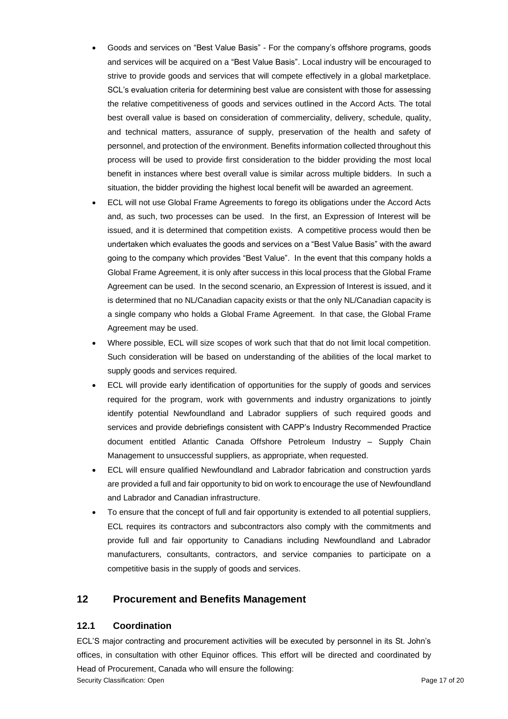- Goods and services on "Best Value Basis" For the company's offshore programs, goods and services will be acquired on a "Best Value Basis". Local industry will be encouraged to strive to provide goods and services that will compete effectively in a global marketplace. SCL's evaluation criteria for determining best value are consistent with those for assessing the relative competitiveness of goods and services outlined in the Accord Acts. The total best overall value is based on consideration of commerciality, delivery, schedule, quality, and technical matters, assurance of supply, preservation of the health and safety of personnel, and protection of the environment. Benefits information collected throughout this process will be used to provide first consideration to the bidder providing the most local benefit in instances where best overall value is similar across multiple bidders. In such a situation, the bidder providing the highest local benefit will be awarded an agreement.
- ECL will not use Global Frame Agreements to forego its obligations under the Accord Acts and, as such, two processes can be used. In the first, an Expression of Interest will be issued, and it is determined that competition exists. A competitive process would then be undertaken which evaluates the goods and services on a "Best Value Basis" with the award going to the company which provides "Best Value". In the event that this company holds a Global Frame Agreement, it is only after success in this local process that the Global Frame Agreement can be used. In the second scenario, an Expression of Interest is issued, and it is determined that no NL/Canadian capacity exists or that the only NL/Canadian capacity is a single company who holds a Global Frame Agreement. In that case, the Global Frame Agreement may be used.
- Where possible, ECL will size scopes of work such that that do not limit local competition. Such consideration will be based on understanding of the abilities of the local market to supply goods and services required.
- ECL will provide early identification of opportunities for the supply of goods and services required for the program, work with governments and industry organizations to jointly identify potential Newfoundland and Labrador suppliers of such required goods and services and provide debriefings consistent with CAPP's Industry Recommended Practice document entitled Atlantic Canada Offshore Petroleum Industry – Supply Chain Management to unsuccessful suppliers, as appropriate, when requested.
- ECL will ensure qualified Newfoundland and Labrador fabrication and construction yards are provided a full and fair opportunity to bid on work to encourage the use of Newfoundland and Labrador and Canadian infrastructure.
- <span id="page-15-0"></span>• To ensure that the concept of full and fair opportunity is extended to all potential suppliers, ECL requires its contractors and subcontractors also comply with the commitments and provide full and fair opportunity to Canadians including Newfoundland and Labrador manufacturers, consultants, contractors, and service companies to participate on a competitive basis in the supply of goods and services.

## <span id="page-15-1"></span>**12 Procurement and Benefits Management**

#### **12.1 Coordination**

ECL'S major contracting and procurement activities will be executed by personnel in its St. John's offices, in consultation with other Equinor offices. This effort will be directed and coordinated by Head of Procurement, Canada who will ensure the following: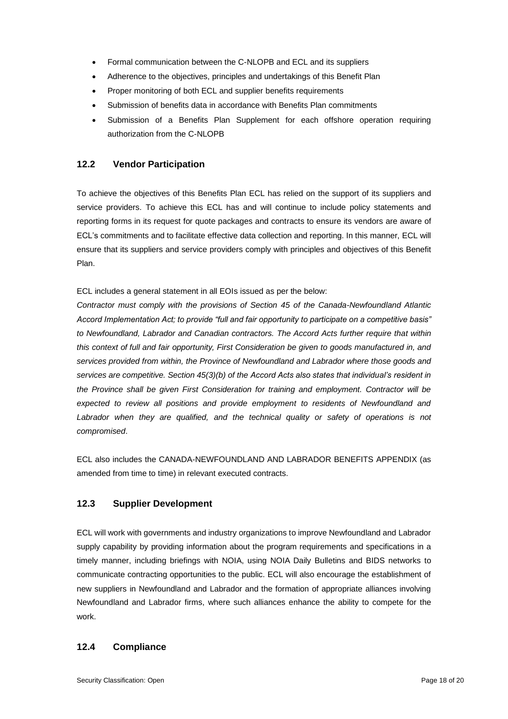- Formal communication between the C-NLOPB and ECL and its suppliers
- Adherence to the objectives, principles and undertakings of this Benefit Plan
- Proper monitoring of both ECL and supplier benefits requirements
- <span id="page-16-0"></span>• Submission of benefits data in accordance with Benefits Plan commitments
- Submission of a Benefits Plan Supplement for each offshore operation requiring authorization from the C-NLOPB

#### **12.2 Vendor Participation**

To achieve the objectives of this Benefits Plan ECL has relied on the support of its suppliers and service providers. To achieve this ECL has and will continue to include policy statements and reporting forms in its request for quote packages and contracts to ensure its vendors are aware of ECL's commitments and to facilitate effective data collection and reporting. In this manner, ECL will ensure that its suppliers and service providers comply with principles and objectives of this Benefit Plan.

ECL includes a general statement in all EOIs issued as per the below:

*Contractor must comply with the provisions of Section 45 of the Canada-Newfoundland Atlantic Accord Implementation Act; to provide "full and fair opportunity to participate on a competitive basis" to Newfoundland, Labrador and Canadian contractors. The Accord Acts further require that within this context of full and fair opportunity, First Consideration be given to goods manufactured in, and services provided from within, the Province of Newfoundland and Labrador where those goods and services are competitive. Section 45(3)(b) of the Accord Acts also states that individual's resident in the Province shall be given First Consideration for training and employment. Contractor will be expected to review all positions and provide employment to residents of Newfoundland and*  Labrador when they are qualified, and the technical quality or safety of operations is not *compromised*.

<span id="page-16-1"></span>ECL also includes the CANADA-NEWFOUNDLAND AND LABRADOR BENEFITS APPENDIX (as amended from time to time) in relevant executed contracts.

#### **12.3 Supplier Development**

<span id="page-16-2"></span>ECL will work with governments and industry organizations to improve Newfoundland and Labrador supply capability by providing information about the program requirements and specifications in a timely manner, including briefings with NOIA, using NOIA Daily Bulletins and BIDS networks to communicate contracting opportunities to the public. ECL will also encourage the establishment of new suppliers in Newfoundland and Labrador and the formation of appropriate alliances involving Newfoundland and Labrador firms, where such alliances enhance the ability to compete for the work.

#### **12.4 Compliance**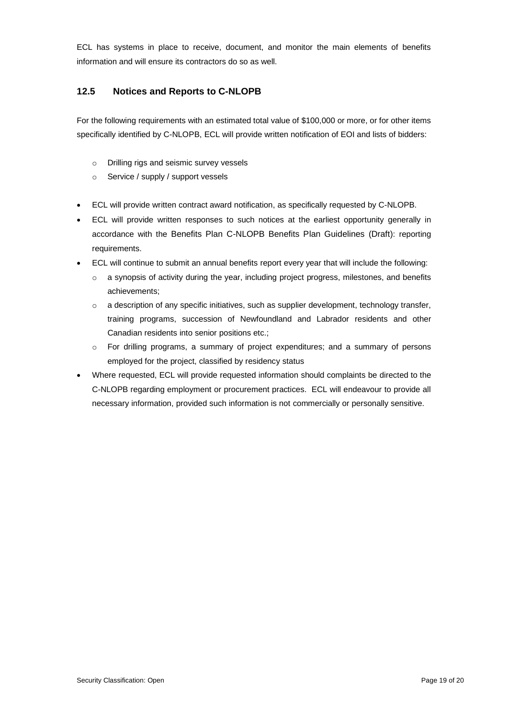<span id="page-17-0"></span>ECL has systems in place to receive, document, and monitor the main elements of benefits information and will ensure its contractors do so as well.

#### **12.5 Notices and Reports to C-NLOPB**

For the following requirements with an estimated total value of \$100,000 or more, or for other items specifically identified by C-NLOPB, ECL will provide written notification of EOI and lists of bidders:

- o Drilling rigs and seismic survey vessels
- o Service / supply / support vessels
- ECL will provide written contract award notification, as specifically requested by C-NLOPB.
- ECL will provide written responses to such notices at the earliest opportunity generally in accordance with the Benefits Plan C-NLOPB Benefits Plan Guidelines (Draft): reporting requirements.
- ECL will continue to submit an annual benefits report every year that will include the following:
	- $\circ$  a synopsis of activity during the year, including project progress, milestones, and benefits achievements;
	- $\circ$  a description of any specific initiatives, such as supplier development, technology transfer, training programs, succession of Newfoundland and Labrador residents and other Canadian residents into senior positions etc.;
	- $\circ$  For drilling programs, a summary of project expenditures; and a summary of persons employed for the project, classified by residency status
- Where requested, ECL will provide requested information should complaints be directed to the C-NLOPB regarding employment or procurement practices. ECL will endeavour to provide all necessary information, provided such information is not commercially or personally sensitive.